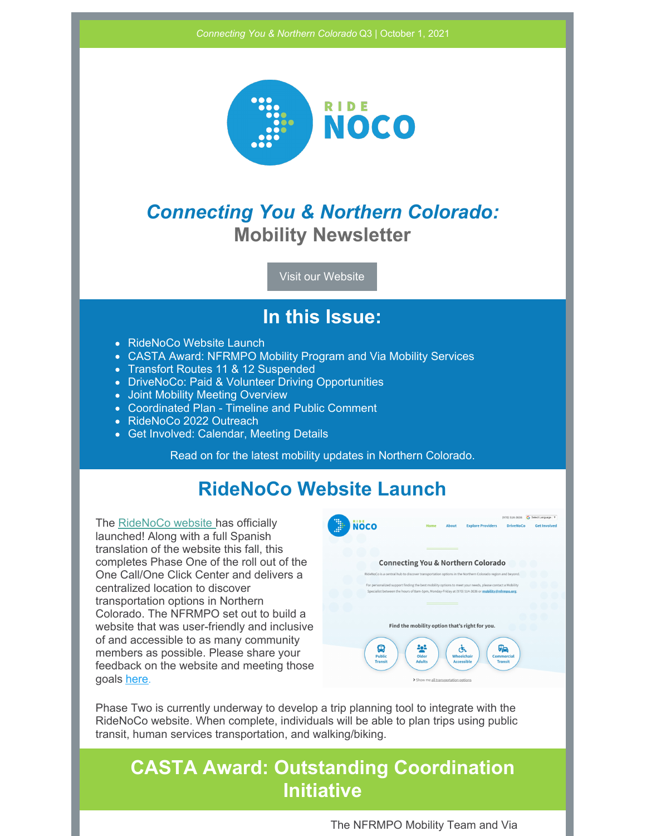

## *Connecting You & Northern Colorado:* **Mobility Newsletter**

Visit our [Website](http://rideno.co)

#### **In this Issue:**

- RideNoCo Website Launch
- CASTA Award: NFRMPO Mobility Program and Via Mobility Services
- Transfort Routes 11 & 12 Suspended
- DriveNoCo: Paid & Volunteer Driving Opportunities
- Joint Mobility Meeting Overview
- Coordinated Plan Timeline and Public Comment
- RideNoCo 2022 Outreach
- Get Involved: Calendar, Meeting Details

Read on for the latest mobility updates in Northern Colorado.

### **RideNoCo Website Launch**

The [RideNoCo](http://rideno.co) website has officially launched! Along with a full Spanish translation of the website this fall, this completes Phase One of the roll out of the One Call/One Click Center and delivers a centralized location to discover transportation options in Northern Colorado. The NFRMPO set out to build a website that was user-friendly and inclusive of and accessible to as many community members as possible. Please share your feedback on the website and meeting those goals [here](https://forms.gle/vcVPWbiGrrz1rvEf8).



Phase Two is currently underway to develop a trip planning tool to integrate with the RideNoCo website. When complete, individuals will be able to plan trips using public transit, human services transportation, and walking/biking.

### **CASTA Award: Outstanding Coordination Initiative**

The NFRMPO Mobility Team and Via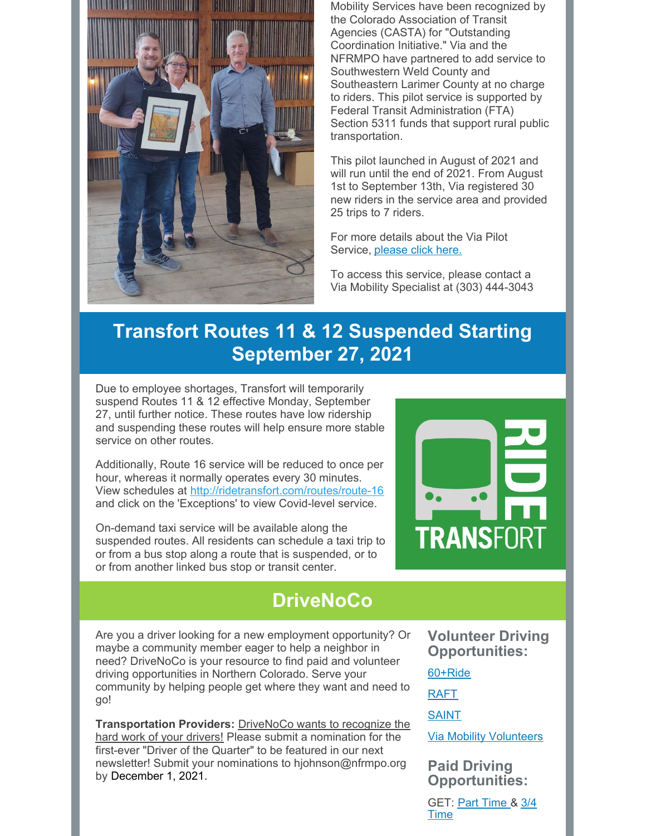

Mobility Services have been recognized by the Colorado Association of Transit Agencies (CASTA) for "Outstanding Coordination Initiative." Via and the NFRMPO have partnered to add service to Southwestern Weld County and Southeastern Larimer County at no charge to riders. This pilot service is supported by Federal Transit Administration (FTA) Section 5311 funds that support rural public transportation.

This pilot launched in August of 2021 and will run until the end of 2021. From August 1st to September 13th, Via registered 30 new riders in the service area and provided 25 trips to 7 riders.

For more details about the Via Pilot Service, [please](https://nfrmpo.org/wp-content/uploads/Press-Release-Via-Pilot-Service-2021_Final.pdf) click here.

To access this service, please contact a Via Mobility Specialist at (303) 444-3043

## **Transfort Routes 11 & 12 Suspended Starting September 27, 2021**

Due to employee shortages, Transfort will temporarily suspend Routes 11 & 12 effective Monday, September 27, until further notice. These routes have low ridership and suspending these routes will help ensure more stable service on other routes.

Additionally, Route 16 service will be reduced to once per hour, whereas it normally operates every 30 minutes. View schedules at <http://ridetransfort.com/routes/route-16> and click on the 'Exceptions' to view Covid-level service.

On-demand taxi service will be available along the suspended routes. All residents can schedule a taxi trip to or from a bus stop along a route that is suspended, or to or from another linked bus stop or transit center.

## **DriveNoCo**

Are you a driver looking for a new employment opportunity? Or maybe a community member eager to help a neighbor in need? DriveNoCo is your resource to find paid and volunteer driving opportunities in Northern Colorado. Serve your community by helping people get where they want and need to go!

**Transportation Providers:** DriveNoCo wants to recognize the hard work of your drivers! Please submit a nomination for the first-ever "Driver of the Quarter" to be featured in our next newsletter! Submit your nominations to hjohnson@nfrmpo.org by December 1, 2021.

**Volunteer Driving Opportunities:**

**TRANSFORT** 

[60+Ride](https://60plusride.org/get-involved/)

[RAFT](https://berthoudraft.org/volunteer-to-be-a-driver/)

**[SAINT](http://saintvolunteertransportation.org/drive.php)** 

Via Mobility [Volunteers](https://docs.google.com/forms/d/e/1FAIpQLSeMLAQGZ2qkZ0izsS-vvYwzRVUwA7Sve12pAT9eu2iYnLeeYA/viewform)

**Paid Driving Opportunities:**

GET: Part [Time](https://elvp.fa.us2.oraclecloud.com/hcmUI/CandidateExperience/en/sites/CX/requisitions/preview/215) & [3/4](https://elvp.fa.us2.oraclecloud.com/hcmUI/CandidateExperience/en/sites/CX/requisitions/preview/216) **[Time](https://elvp.fa.us2.oraclecloud.com/hcmUI/CandidateExperience/en/sites/CX/requisitions/preview/216)**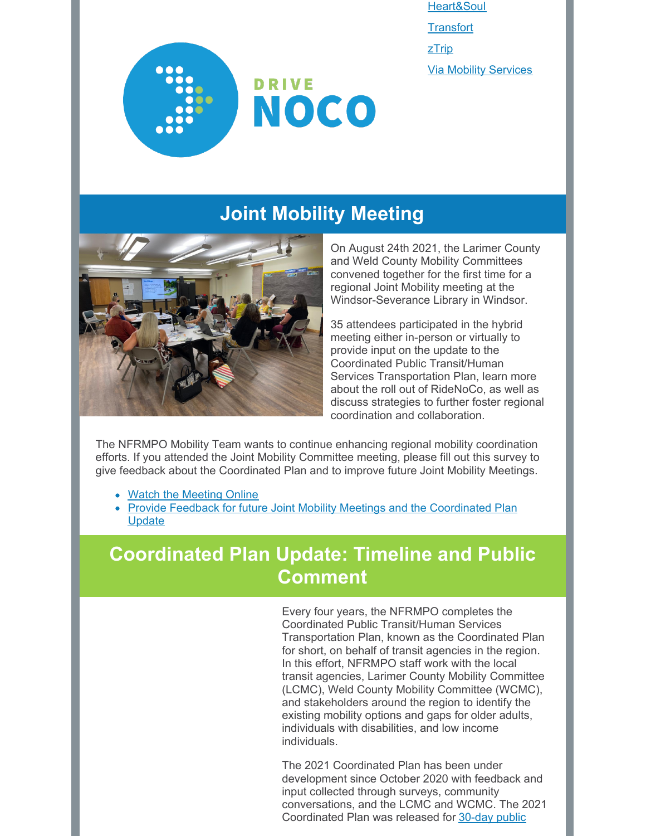[Heart&Soul](http://heartandsoulparatransit.com/careers/) **[Transfort](https://fcgov.csod.com/ux/ats/careersite/12/home/requisition/2562?c=fcgov)** [zTrip](https://www.ztrip.com/drive-with-ztrip/) Via Mobility [Services](https://viacolorado.org/work-with-us/careers/)



## **Joint Mobility Meeting**



On August 24th 2021, the Larimer County and Weld County Mobility Committees convened together for the first time for a regional Joint Mobility meeting at the Windsor-Severance Library in Windsor.

35 attendees participated in the hybrid meeting either in-person or virtually to provide input on the update to the Coordinated Public Transit/Human Services Transportation Plan, learn more about the roll out of RideNoCo, as well as discuss strategies to further foster regional coordination and collaboration.

The NFRMPO Mobility Team wants to continue enhancing regional mobility coordination efforts. If you attended the Joint Mobility Committee meeting, please fill out this survey to give feedback about the Coordinated Plan and to improve future Joint Mobility Meetings.

- Watch the [Meeting](https://youtu.be/2Q_aqbouRcw) Online
- Provide Feedback for future Joint Mobility Meetings and the [Coordinated](https://forms.gle/ZoPAf6N2wgAme56s6) Plan **Update**

## **Coordinated Plan Update: Timeline and Public Comment**

Every four years, the NFRMPO completes the Coordinated Public Transit/Human Services Transportation Plan, known as the Coordinated Plan for short, on behalf of transit agencies in the region. In this effort, NFRMPO staff work with the local transit agencies, Larimer County Mobility Committee (LCMC), Weld County Mobility Committee (WCMC), and stakeholders around the region to identify the existing mobility options and gaps for older adults, individuals with disabilities, and low income individuals.

The 2021 Coordinated Plan has been under development since October 2020 with feedback and input collected through surveys, community conversations, and the LCMC and WCMC. The 2021 [Coordinated](https://nfrmpo.org/public-comment/) Plan was released for 30-day public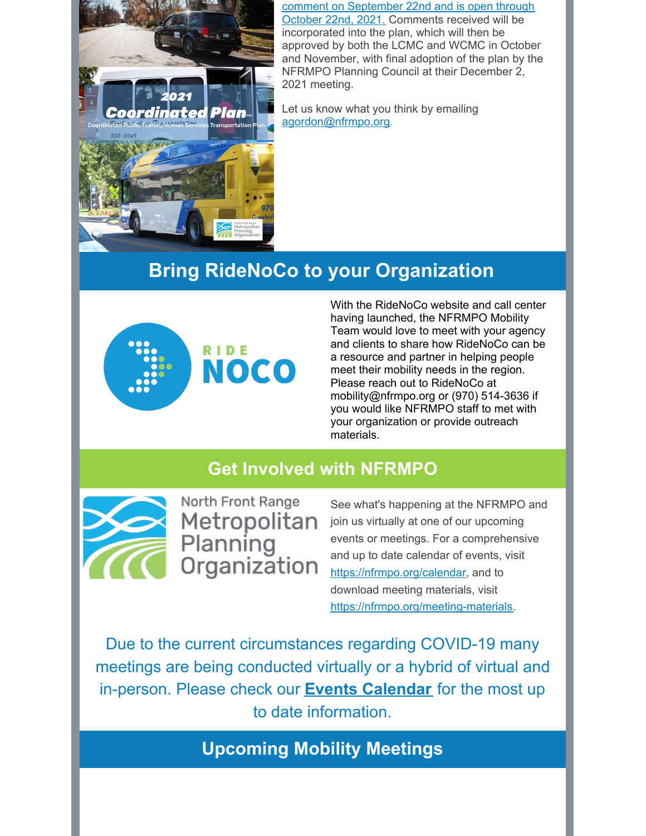

comment on September 22nd and is open through October 22nd, 2021. Comments received will be incorporated into the plan, which will then be approved by both the LCMC and WCMC in October and November, with final adoption of the plan by the NFRMPO Planning Council at their December 2, 2021 meeting.

Let us know what you think by emailing [agordon@nfrmpo.org](mailto:agordon@nfrmpo.org).

# **Bring RideNoCo to your Organization**



With the RideNoCo website and call center having launched, the NFRMPO Mobility Team would love to meet with your agency and clients to share how RideNoCo can be a resource and partner in helping people meet their mobility needs in the region. Please reach out to RideNoCo at mobility@nfrmpo.org or (970) 514-3636 if you would like NFRMPO staff to met with your organization or provide outreach materials.

#### **Get Involved with NFRMPO**



North Front Range Metropolitan Planning Organization

See what's happening at the NFRMPO and join us virtually at one of our upcoming events or meetings. For a comprehensive and up to date calendar of events, visit [https://nfrmpo.org/calendar](https://nfrmpo.org/calendar/), and to download meeting materials, visit [https://nfrmpo.org/meeting-materials](https://nfrmpo.org/meeting-materials/).

Due to the current circumstances regarding COVID-19 many meetings are being conducted virtually or a hybrid of virtual and in-person. Please check our **Events [Calendar](https://nfrmpo.org/calendar/)** for the most up to date information.

**Upcoming Mobility Meetings**